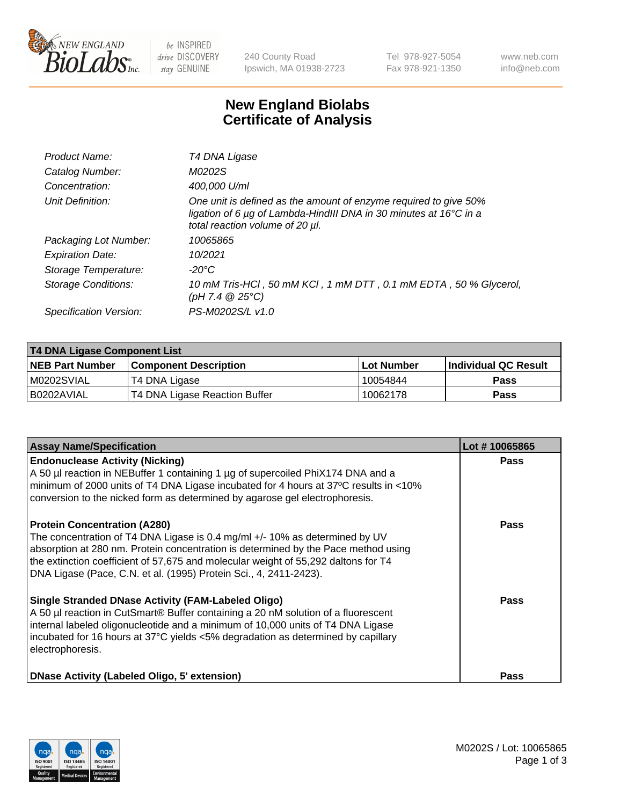

 $be$  INSPIRED drive DISCOVERY stay GENUINE

240 County Road Ipswich, MA 01938-2723 Tel 978-927-5054 Fax 978-921-1350 www.neb.com info@neb.com

## **New England Biolabs Certificate of Analysis**

| Product Name:              | T4 DNA Ligase                                                                                                                                                            |
|----------------------------|--------------------------------------------------------------------------------------------------------------------------------------------------------------------------|
| Catalog Number:            | M0202S                                                                                                                                                                   |
| Concentration:             | 400,000 U/ml                                                                                                                                                             |
| Unit Definition:           | One unit is defined as the amount of enzyme required to give 50%<br>ligation of 6 µg of Lambda-HindIII DNA in 30 minutes at 16°C in a<br>total reaction volume of 20 µl. |
| Packaging Lot Number:      | 10065865                                                                                                                                                                 |
| <b>Expiration Date:</b>    | 10/2021                                                                                                                                                                  |
| Storage Temperature:       | $-20^{\circ}$ C                                                                                                                                                          |
| <b>Storage Conditions:</b> | 10 mM Tris-HCl, 50 mM KCl, 1 mM DTT, 0.1 mM EDTA, 50 % Glycerol,<br>(pH 7.4 $@25°C$ )                                                                                    |
| Specification Version:     | PS-M0202S/L v1.0                                                                                                                                                         |

| T4 DNA Ligase Component List |                               |              |                             |  |
|------------------------------|-------------------------------|--------------|-----------------------------|--|
| <b>NEB Part Number</b>       | <b>Component Description</b>  | l Lot Number | <b>Individual QC Result</b> |  |
| M0202SVIAL                   | T4 DNA Ligase                 | 10054844     | <b>Pass</b>                 |  |
| I B0202AVIAL                 | T4 DNA Ligase Reaction Buffer | 10062178     | <b>Pass</b>                 |  |

| <b>Assay Name/Specification</b>                                                                                                                                                                                                                                                                                                                                     | Lot #10065865 |
|---------------------------------------------------------------------------------------------------------------------------------------------------------------------------------------------------------------------------------------------------------------------------------------------------------------------------------------------------------------------|---------------|
| <b>Endonuclease Activity (Nicking)</b><br>A 50 µl reaction in NEBuffer 1 containing 1 µg of supercoiled PhiX174 DNA and a<br>minimum of 2000 units of T4 DNA Ligase incubated for 4 hours at 37°C results in <10%<br>conversion to the nicked form as determined by agarose gel electrophoresis.                                                                    | <b>Pass</b>   |
| <b>Protein Concentration (A280)</b><br>The concentration of T4 DNA Ligase is 0.4 mg/ml +/- 10% as determined by UV<br>absorption at 280 nm. Protein concentration is determined by the Pace method using<br>the extinction coefficient of 57,675 and molecular weight of 55,292 daltons for T4<br>DNA Ligase (Pace, C.N. et al. (1995) Protein Sci., 4, 2411-2423). | Pass          |
| Single Stranded DNase Activity (FAM-Labeled Oligo)<br>A 50 µl reaction in CutSmart® Buffer containing a 20 nM solution of a fluorescent<br>internal labeled oligonucleotide and a minimum of 10,000 units of T4 DNA Ligase<br>incubated for 16 hours at 37°C yields <5% degradation as determined by capillary<br>electrophoresis.                                  | <b>Pass</b>   |
| DNase Activity (Labeled Oligo, 5' extension)                                                                                                                                                                                                                                                                                                                        | <b>Pass</b>   |

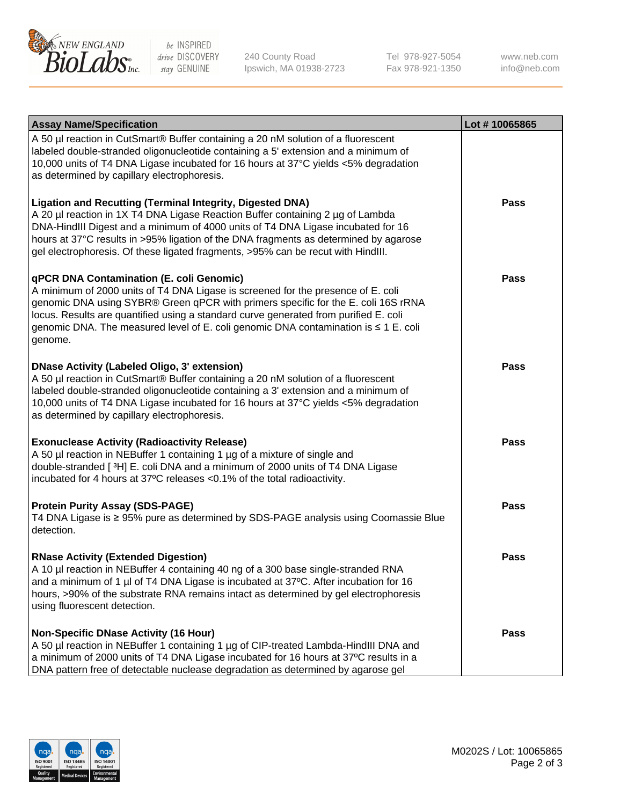

be INSPIRED drive DISCOVERY stay GENUINE

240 County Road Ipswich, MA 01938-2723 Tel 978-927-5054 Fax 978-921-1350

www.neb.com info@neb.com

| <b>Assay Name/Specification</b>                                                                                                                                                                                                                                                                                                                                                                                    | Lot #10065865 |
|--------------------------------------------------------------------------------------------------------------------------------------------------------------------------------------------------------------------------------------------------------------------------------------------------------------------------------------------------------------------------------------------------------------------|---------------|
| A 50 µl reaction in CutSmart® Buffer containing a 20 nM solution of a fluorescent<br>labeled double-stranded oligonucleotide containing a 5' extension and a minimum of<br>10,000 units of T4 DNA Ligase incubated for 16 hours at 37°C yields <5% degradation<br>as determined by capillary electrophoresis.                                                                                                      |               |
| <b>Ligation and Recutting (Terminal Integrity, Digested DNA)</b><br>A 20 µl reaction in 1X T4 DNA Ligase Reaction Buffer containing 2 µg of Lambda<br>DNA-HindIII Digest and a minimum of 4000 units of T4 DNA Ligase incubated for 16<br>hours at 37°C results in >95% ligation of the DNA fragments as determined by agarose<br>gel electrophoresis. Of these ligated fragments, >95% can be recut with HindIII. | <b>Pass</b>   |
| qPCR DNA Contamination (E. coli Genomic)<br>A minimum of 2000 units of T4 DNA Ligase is screened for the presence of E. coli<br>genomic DNA using SYBR® Green qPCR with primers specific for the E. coli 16S rRNA<br>locus. Results are quantified using a standard curve generated from purified E. coli<br>genomic DNA. The measured level of E. coli genomic DNA contamination is ≤ 1 E. coli<br>genome.        | Pass          |
| <b>DNase Activity (Labeled Oligo, 3' extension)</b><br>A 50 µl reaction in CutSmart® Buffer containing a 20 nM solution of a fluorescent<br>labeled double-stranded oligonucleotide containing a 3' extension and a minimum of<br>10,000 units of T4 DNA Ligase incubated for 16 hours at 37°C yields <5% degradation<br>as determined by capillary electrophoresis.                                               | Pass          |
| <b>Exonuclease Activity (Radioactivity Release)</b><br>A 50 µl reaction in NEBuffer 1 containing 1 µg of a mixture of single and<br>double-stranded [3H] E. coli DNA and a minimum of 2000 units of T4 DNA Ligase<br>incubated for 4 hours at 37°C releases <0.1% of the total radioactivity.                                                                                                                      | <b>Pass</b>   |
| <b>Protein Purity Assay (SDS-PAGE)</b><br>T4 DNA Ligase is ≥ 95% pure as determined by SDS-PAGE analysis using Coomassie Blue<br>detection.                                                                                                                                                                                                                                                                        | <b>Pass</b>   |
| <b>RNase Activity (Extended Digestion)</b><br>A 10 µl reaction in NEBuffer 4 containing 40 ng of a 300 base single-stranded RNA<br>and a minimum of 1 $\mu$ of T4 DNA Ligase is incubated at 37°C. After incubation for 16<br>hours, >90% of the substrate RNA remains intact as determined by gel electrophoresis<br>using fluorescent detection.                                                                 | Pass          |
| <b>Non-Specific DNase Activity (16 Hour)</b><br>A 50 µl reaction in NEBuffer 1 containing 1 µg of CIP-treated Lambda-HindIII DNA and<br>a minimum of 2000 units of T4 DNA Ligase incubated for 16 hours at 37°C results in a<br>DNA pattern free of detectable nuclease degradation as determined by agarose gel                                                                                                   | Pass          |